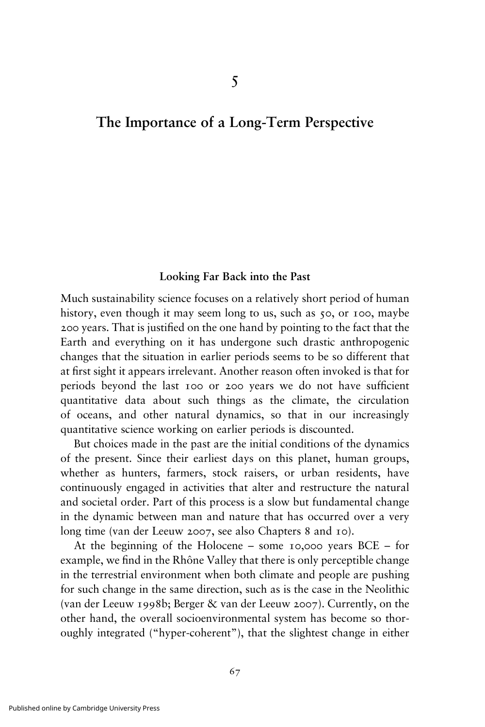# **The Importance of a Long-Term Perspective**

#### **Looking Far Back into the Past**

Much sustainability science focuses on a relatively short period of human history, even though it may seem long to us, such as 50, or 100, maybe 200 years. That is justified on the one hand by pointing to the fact that the Earth and everything on it has undergone such drastic anthropogenic changes that the situation in earlier periods seems to be so different that at first sight it appears irrelevant. Another reason often invoked is that for periods beyond the last 100 or 200 years we do not have sufficient quantitative data about such things as the climate, the circulation of oceans, and other natural dynamics, so that in our increasingly quantitative science working on earlier periods is discounted.

But choices made in the past are the initial conditions of the dynamics of the present. Since their earliest days on this planet, human groups, whether as hunters, farmers, stock raisers, or urban residents, have continuously engaged in activities that alter and restructure the natural and societal order. Part of this process is a slow but fundamental change in the dynamic between man and nature that has occurred over a very long time (van der Leeuw 2007, see also Chapters 8 and 10).

At the beginning of the Holocene – some 10,000 years BCE – for example, we find in the Rhône Valley that there is only perceptible change in the terrestrial environment when both climate and people are pushing for such change in the same direction, such as is the case in the Neolithic (van der Leeuw 1998b; Berger & van der Leeuw 2007). Currently, on the other hand, the overall socioenvironmental system has become so thoroughly integrated ("hyper-coherent"), that the slightest change in either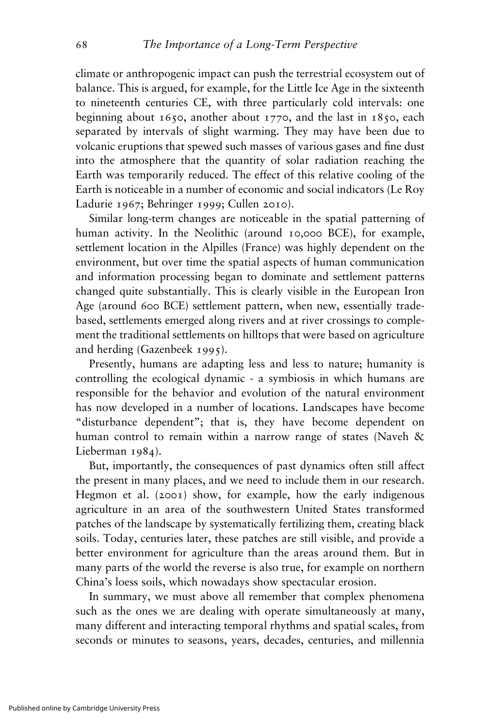climate or anthropogenic impact can push the terrestrial ecosystem out of balance. This is argued, for example, for the Little Ice Age in the sixteenth to nineteenth centuries CE, with three particularly cold intervals: one beginning about  $1650$ , another about 1770, and the last in  $1850$ , each separated by intervals of slight warming. They may have been due to volcanic eruptions that spewed such masses of various gases and fine dust into the atmosphere that the quantity of solar radiation reaching the Earth was temporarily reduced. The effect of this relative cooling of the Earth is noticeable in a number of economic and social indicators (Le Roy Ladurie 1967; Behringer 1999; Cullen 2010).

Similar long-term changes are noticeable in the spatial patterning of human activity. In the Neolithic (around 10,000 BCE), for example, settlement location in the Alpilles (France) was highly dependent on the environment, but over time the spatial aspects of human communication and information processing began to dominate and settlement patterns changed quite substantially. This is clearly visible in the European Iron Age (around 600 BCE) settlement pattern, when new, essentially tradebased, settlements emerged along rivers and at river crossings to complement the traditional settlements on hilltops that were based on agriculture and herding (Gazenbeek 1995).

Presently, humans are adapting less and less to nature; humanity is controlling the ecological dynamic - a symbiosis in which humans are responsible for the behavior and evolution of the natural environment has now developed in a number of locations. Landscapes have become "disturbance dependent"; that is, they have become dependent on human control to remain within a narrow range of states (Naveh & Lieberman 1984).

But, importantly, the consequences of past dynamics often still affect the present in many places, and we need to include them in our research. Hegmon et al. (2001) show, for example, how the early indigenous agriculture in an area of the southwestern United States transformed patches of the landscape by systematically fertilizing them, creating black soils. Today, centuries later, these patches are still visible, and provide a better environment for agriculture than the areas around them. But in many parts of the world the reverse is also true, for example on northern China's loess soils, which nowadays show spectacular erosion.

In summary, we must above all remember that complex phenomena such as the ones we are dealing with operate simultaneously at many, many different and interacting temporal rhythms and spatial scales, from seconds or minutes to seasons, years, decades, centuries, and millennia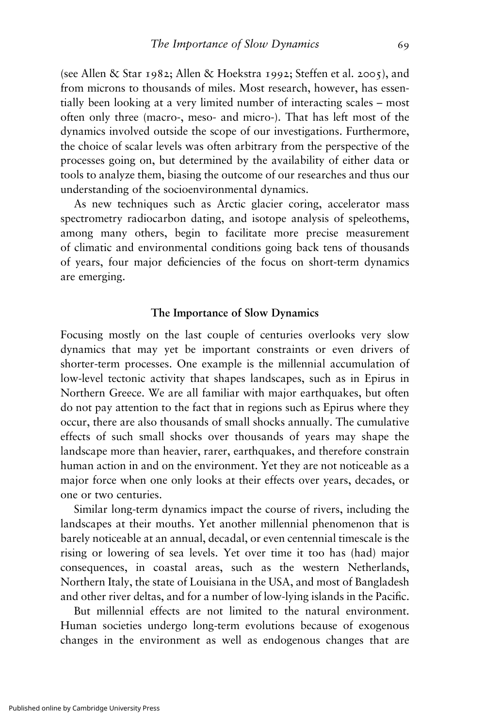(see Allen & Star 1982; Allen & Hoekstra 1992; Steffen et al. 2005), and from microns to thousands of miles. Most research, however, has essentially been looking at a very limited number of interacting scales – most often only three (macro-, meso- and micro-). That has left most of the dynamics involved outside the scope of our investigations. Furthermore, the choice of scalar levels was often arbitrary from the perspective of the processes going on, but determined by the availability of either data or tools to analyze them, biasing the outcome of our researches and thus our understanding of the socioenvironmental dynamics.

As new techniques such as Arctic glacier coring, accelerator mass spectrometry radiocarbon dating, and isotope analysis of speleothems, among many others, begin to facilitate more precise measurement of climatic and environmental conditions going back tens of thousands of years, four major deficiencies of the focus on short-term dynamics are emerging.

#### **The Importance of Slow Dynamics**

Focusing mostly on the last couple of centuries overlooks very slow dynamics that may yet be important constraints or even drivers of shorter-term processes. One example is the millennial accumulation of low-level tectonic activity that shapes landscapes, such as in Epirus in Northern Greece. We are all familiar with major earthquakes, but often do not pay attention to the fact that in regions such as Epirus where they occur, there are also thousands of small shocks annually. The cumulative effects of such small shocks over thousands of years may shape the landscape more than heavier, rarer, earthquakes, and therefore constrain human action in and on the environment. Yet they are not noticeable as a major force when one only looks at their effects over years, decades, or one or two centuries.

Similar long-term dynamics impact the course of rivers, including the landscapes at their mouths. Yet another millennial phenomenon that is barely noticeable at an annual, decadal, or even centennial timescale is the rising or lowering of sea levels. Yet over time it too has (had) major consequences, in coastal areas, such as the western Netherlands, Northern Italy, the state of Louisiana in the USA, and most of Bangladesh and other river deltas, and for a number of low-lying islands in the Pacific.

But millennial effects are not limited to the natural environment. Human societies undergo long-term evolutions because of exogenous changes in the environment as well as endogenous changes that are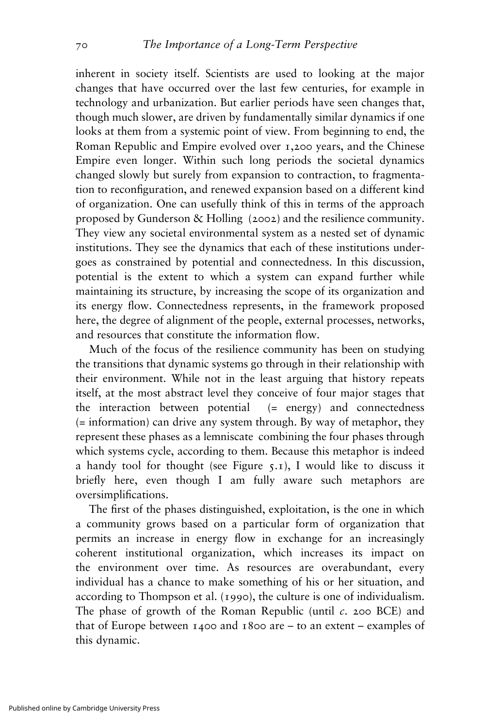inherent in society itself. Scientists are used to looking at the major changes that have occurred over the last few centuries, for example in technology and urbanization. But earlier periods have seen changes that, though much slower, are driven by fundamentally similar dynamics if one looks at them from a systemic point of view. From beginning to end, the Roman Republic and Empire evolved over 1,200 years, and the Chinese Empire even longer. Within such long periods the societal dynamics changed slowly but surely from expansion to contraction, to fragmentation to reconfiguration, and renewed expansion based on a different kind of organization. One can usefully think of this in terms of the approach proposed by Gunderson & Holling (2002) and the resilience community. They view any societal environmental system as a nested set of dynamic institutions. They see the dynamics that each of these institutions undergoes as constrained by potential and connectedness. In this discussion, potential is the extent to which a system can expand further while maintaining its structure, by increasing the scope of its organization and its energy flow. Connectedness represents, in the framework proposed here, the degree of alignment of the people, external processes, networks, and resources that constitute the information flow.

Much of the focus of the resilience community has been on studying the transitions that dynamic systems go through in their relationship with their environment. While not in the least arguing that history repeats itself, at the most abstract level they conceive of four major stages that the interaction between potential (= energy) and connectedness (= information) can drive any system through. By way of metaphor, they represent these phases as a lemniscate combining the four phases through which systems cycle, according to them. Because this metaphor is indeed a handy tool for thought (see Figure  $\zeta$ , I), I would like to discuss it briefly here, even though I am fully aware such metaphors are oversimplifications.

The first of the phases distinguished, exploitation, is the one in which a community grows based on a particular form of organization that permits an increase in energy flow in exchange for an increasingly coherent institutional organization, which increases its impact on the environment over time. As resources are overabundant, every individual has a chance to make something of his or her situation, and according to Thompson et al. (1990), the culture is one of individualism. The phase of growth of the Roman Republic (until *c*. 200 BCE) and that of Europe between  $1400$  and  $1800$  are – to an extent – examples of this dynamic.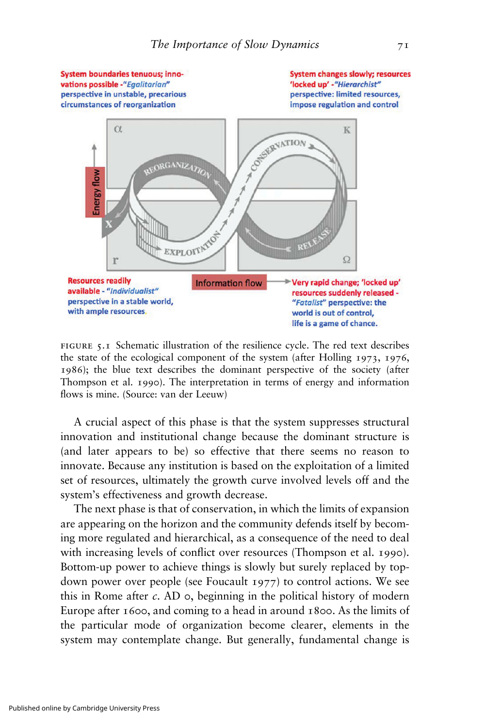

FIGURE  $5.1$  Schematic illustration of the resilience cycle. The red text describes the state of the ecological component of the system (after Holling 1973, 1976, 1986); the blue text describes the dominant perspective of the society (after Thompson et al. 1990). The interpretation in terms of energy and information flows is mine. (Source: van der Leeuw)

A crucial aspect of this phase is that the system suppresses structural innovation and institutional change because the dominant structure is (and later appears to be) so effective that there seems no reason to innovate. Because any institution is based on the exploitation of a limited set of resources, ultimately the growth curve involved levels off and the system's effectiveness and growth decrease.

The next phase is that of conservation, in which the limits of expansion are appearing on the horizon and the community defends itself by becoming more regulated and hierarchical, as a consequence of the need to deal with increasing levels of conflict over resources (Thompson et al. 1990). Bottom-up power to achieve things is slowly but surely replaced by topdown power over people (see Foucault 1977) to control actions. We see this in Rome after *c*. AD 0, beginning in the political history of modern Europe after 1600, and coming to a head in around 1800. As the limits of the particular mode of organization become clearer, elements in the system may contemplate change. But generally, fundamental change is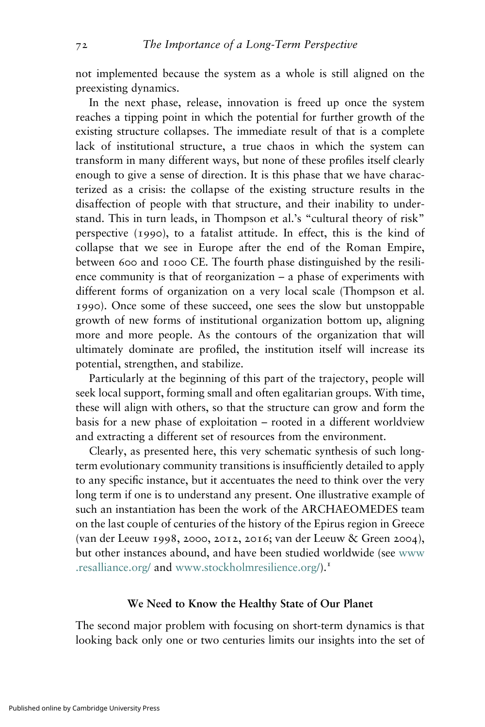not implemented because the system as a whole is still aligned on the preexisting dynamics.

In the next phase, release, innovation is freed up once the system reaches a tipping point in which the potential for further growth of the existing structure collapses. The immediate result of that is a complete lack of institutional structure, a true chaos in which the system can transform in many different ways, but none of these profiles itself clearly enough to give a sense of direction. It is this phase that we have characterized as a crisis: the collapse of the existing structure results in the disaffection of people with that structure, and their inability to understand. This in turn leads, in Thompson et al.'s "cultural theory of risk" perspective (1990), to a fatalist attitude. In effect, this is the kind of collapse that we see in Europe after the end of the Roman Empire, between 600 and 1000 CE. The fourth phase distinguished by the resilience community is that of reorganization – a phase of experiments with different forms of organization on a very local scale (Thompson et al. 1990). Once some of these succeed, one sees the slow but unstoppable growth of new forms of institutional organization bottom up, aligning more and more people. As the contours of the organization that will ultimately dominate are profiled, the institution itself will increase its potential, strengthen, and stabilize.

Particularly at the beginning of this part of the trajectory, people will seek local support, forming small and often egalitarian groups. With time, these will align with others, so that the structure can grow and form the basis for a new phase of exploitation – rooted in a different worldview and extracting a different set of resources from the environment.

Clearly, as presented here, this very schematic synthesis of such longterm evolutionary community transitions is insufficiently detailed to apply to any specific instance, but it accentuates the need to think over the very long term if one is to understand any present. One illustrative example of such an instantiation has been the work of the ARCHAEOMEDES team on the last couple of centuries of the history of the Epirus region in Greece (van der Leeuw 1998, 2000, 2012, 2016; van der Leeuw & Green 2004), but other instances abound, and have been studied worldwide (see [www](http://www.resalliance.org/) [.resalliance.org/](http://www.resalliance.org/) and [www.stockholmresilience.org/\)](http://www.stockholmresilience.org/).<sup>1</sup>

## **We Need to Know the Healthy State of Our Planet**

The second major problem with focusing on short-term dynamics is that looking back only one or two centuries limits our insights into the set of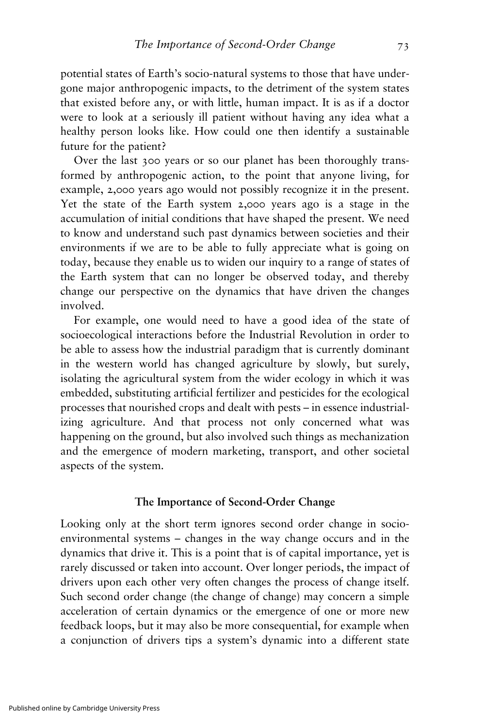potential states of Earth's socio-natural systems to those that have undergone major anthropogenic impacts, to the detriment of the system states that existed before any, or with little, human impact. It is as if a doctor were to look at a seriously ill patient without having any idea what a healthy person looks like. How could one then identify a sustainable future for the patient?

Over the last 300 years or so our planet has been thoroughly transformed by anthropogenic action, to the point that anyone living, for example, 2,000 years ago would not possibly recognize it in the present. Yet the state of the Earth system 2,000 years ago is a stage in the accumulation of initial conditions that have shaped the present. We need to know and understand such past dynamics between societies and their environments if we are to be able to fully appreciate what is going on today, because they enable us to widen our inquiry to a range of states of the Earth system that can no longer be observed today, and thereby change our perspective on the dynamics that have driven the changes involved.

For example, one would need to have a good idea of the state of socioecological interactions before the Industrial Revolution in order to be able to assess how the industrial paradigm that is currently dominant in the western world has changed agriculture by slowly, but surely, isolating the agricultural system from the wider ecology in which it was embedded, substituting artificial fertilizer and pesticides for the ecological processes that nourished crops and dealt with pests – in essence industrializing agriculture. And that process not only concerned what was happening on the ground, but also involved such things as mechanization and the emergence of modern marketing, transport, and other societal aspects of the system.

## **The Importance of Second-Order Change**

Looking only at the short term ignores second order change in socioenvironmental systems – changes in the way change occurs and in the dynamics that drive it. This is a point that is of capital importance, yet is rarely discussed or taken into account. Over longer periods, the impact of drivers upon each other very often changes the process of change itself. Such second order change (the change of change) may concern a simple acceleration of certain dynamics or the emergence of one or more new feedback loops, but it may also be more consequential, for example when a conjunction of drivers tips a system's dynamic into a different state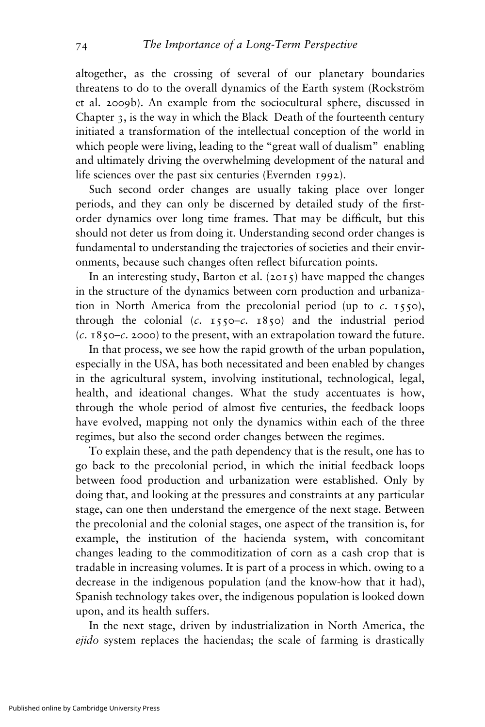altogether, as the crossing of several of our planetary boundaries threatens to do to the overall dynamics of the Earth system (Rockström et al. 2009b). An example from the sociocultural sphere, discussed in Chapter 3, is the way in which the Black Death of the fourteenth century initiated a transformation of the intellectual conception of the world in which people were living, leading to the "great wall of dualism" enabling and ultimately driving the overwhelming development of the natural and life sciences over the past six centuries (Evernden 1992).

Such second order changes are usually taking place over longer periods, and they can only be discerned by detailed study of the firstorder dynamics over long time frames. That may be difficult, but this should not deter us from doing it. Understanding second order changes is fundamental to understanding the trajectories of societies and their environments, because such changes often reflect bifurcation points.

In an interesting study, Barton et al.  $(2015)$  have mapped the changes in the structure of the dynamics between corn production and urbanization in North America from the precolonial period (up to *c*. 1550), through the colonial (*c*. 1550–*c*. 1850) and the industrial period (*c*. 1850–*c*. 2000) to the present, with an extrapolation toward the future.

In that process, we see how the rapid growth of the urban population, especially in the USA, has both necessitated and been enabled by changes in the agricultural system, involving institutional, technological, legal, health, and ideational changes. What the study accentuates is how, through the whole period of almost five centuries, the feedback loops have evolved, mapping not only the dynamics within each of the three regimes, but also the second order changes between the regimes.

To explain these, and the path dependency that is the result, one has to go back to the precolonial period, in which the initial feedback loops between food production and urbanization were established. Only by doing that, and looking at the pressures and constraints at any particular stage, can one then understand the emergence of the next stage. Between the precolonial and the colonial stages, one aspect of the transition is, for example, the institution of the hacienda system, with concomitant changes leading to the commoditization of corn as a cash crop that is tradable in increasing volumes. It is part of a process in which. owing to a decrease in the indigenous population (and the know-how that it had), Spanish technology takes over, the indigenous population is looked down upon, and its health suffers.

In the next stage, driven by industrialization in North America, the *ejido* system replaces the haciendas; the scale of farming is drastically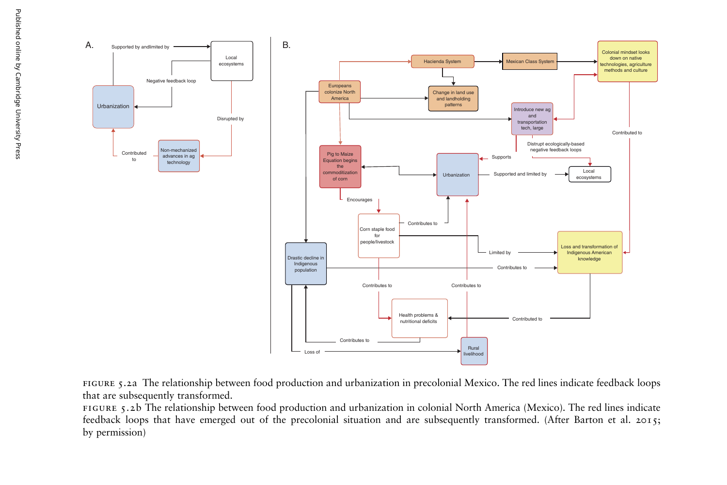

figure 5.2<sup>a</sup> The relationship between food production and urbanization in precolonial Mexico. The red lines indicate feedback loops that are subsequently transformed.

Colonial mindset looksdown on native technologies, agriculture methods and culture

Contributed to

Introduce new ag and transportation tech, large

\_ Supports

Limited by

Contributes to

Contributed to

Distrupt ecologically-based negative feedback loops

> Loss and transformation ofIndigenous American knowledge

Supported and limited by  $\xrightarrow{\qquad \text{Local}}$  ecosystems

figure 5.2b The relationship between food production and urbanization in colonial North America (Mexico). The red lines indicate feedback loops that have emerged out of the precolonial situation and are subsequently transformed. (After Barton et al. <sup>2015</sup>; by permission)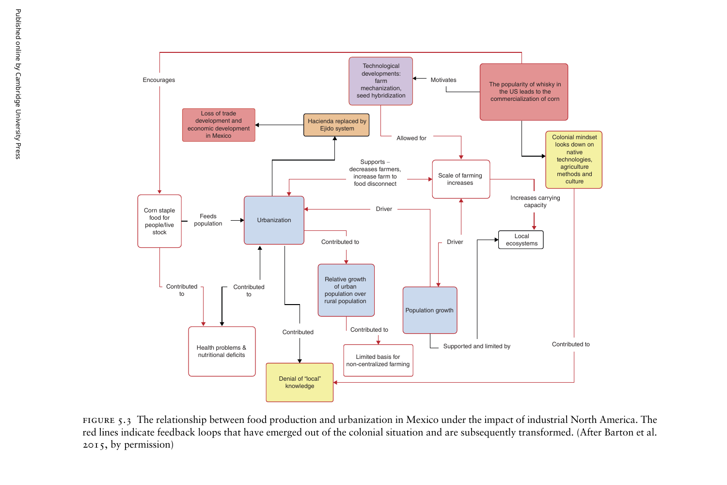

figure 5.3 The relationship between food production and urbanization in Mexico under the impact of industrial North America. The red lines indicate feedback loops that have emerged out of the colonial situation and are subsequently transformed. (After Barton et al. <sup>2015</sup>, by permission)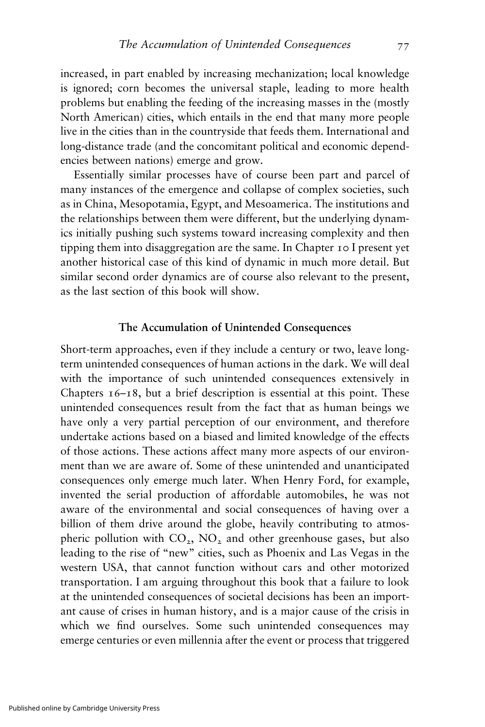increased, in part enabled by increasing mechanization; local knowledge is ignored; corn becomes the universal staple, leading to more health problems but enabling the feeding of the increasing masses in the (mostly North American) cities, which entails in the end that many more people live in the cities than in the countryside that feeds them. International and long-distance trade (and the concomitant political and economic dependencies between nations) emerge and grow.

Essentially similar processes have of course been part and parcel of many instances of the emergence and collapse of complex societies, such as in China, Mesopotamia, Egypt, and Mesoamerica. The institutions and the relationships between them were different, but the underlying dynamics initially pushing such systems toward increasing complexity and then tipping them into disaggregation are the same. In Chapter 10 I present yet another historical case of this kind of dynamic in much more detail. But similar second order dynamics are of course also relevant to the present, as the last section of this book will show.

## **The Accumulation of Unintended Consequences**

Short-term approaches, even if they include a century or two, leave longterm unintended consequences of human actions in the dark. We will deal with the importance of such unintended consequences extensively in Chapters 16–18, but a brief description is essential at this point. These unintended consequences result from the fact that as human beings we have only a very partial perception of our environment, and therefore undertake actions based on a biased and limited knowledge of the effects of those actions. These actions affect many more aspects of our environment than we are aware of. Some of these unintended and unanticipated consequences only emerge much later. When Henry Ford, for example, invented the serial production of affordable automobiles, he was not aware of the environmental and social consequences of having over a billion of them drive around the globe, heavily contributing to atmospheric pollution with  $CO<sub>2</sub>$ ,  $NO<sub>2</sub>$  and other greenhouse gases, but also leading to the rise of "new" cities, such as Phoenix and Las Vegas in the western USA, that cannot function without cars and other motorized transportation. I am arguing throughout this book that a failure to look at the unintended consequences of societal decisions has been an important cause of crises in human history, and is a major cause of the crisis in which we find ourselves. Some such unintended consequences may emerge centuries or even millennia after the event or process that triggered